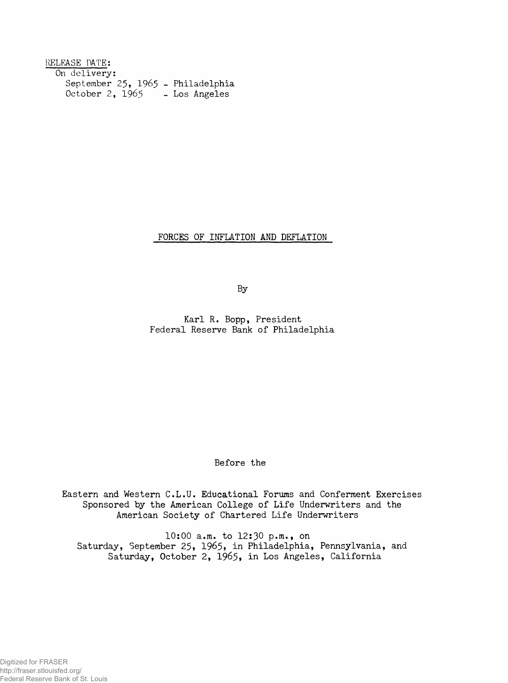| RELEASE DATE:                     |               |
|-----------------------------------|---------------|
| On delivery:                      |               |
| September 25, 1965 - Philadelphia |               |
| October 2, 1965                   | - Los Angeles |

FORCES OF INFLATION AND DEFLATION

By

Karl R. Bopp, President Federal Reserve Bank of Philadelphia

Before the

Eastern and Western C.L.U. Educational Forums and Conferment Exercises Sponsored by the American College of Life Underwriters and the American Society of Chartered Life Underwriters

10:00 a.m. to 12:30 p.m., on Saturday, September 25, 1965, in Philadelphia, Pennsylvania, and Saturday, October 2, 1965, in Los Angeles, California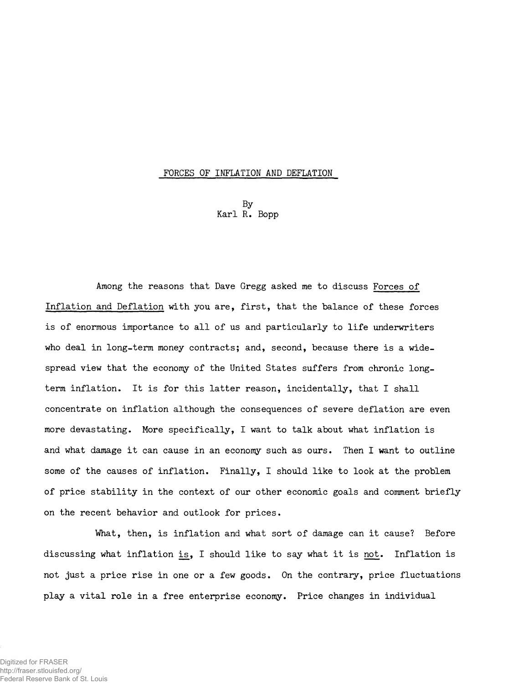## **FORCES OF INFLATION AND DEFLATION**

**By Karl R. Bopp**

**Among the reasons that Dave Gregg asked me to discuss Forces of Inflation and Deflation with you are, first, that the balance of these forces is of enormous importance to all of us and particularly to life underwriters who deal in long-term money contracts; and, second, because there is a widespread view that the economy of the United States suffers from chronic longterm inflation. It is for this latter reason, incidentally, that I shall concentrate on inflation although the consequences of severe deflation are even more devastating. More specifically, I want to talk about what inflation is and what damage it can cause in an economy such as ours. Then I want to outline some of the causes of inflation. Finally, I should like to look at the problem of price stability in the context of our other economic goals and comment briefly on the recent behavior and outlook for prices.**

**What, then, is inflation and what sort of damage can it cause? Before discussing what inflation is, I should like to say what it is not. Inflation is not just a price rise in one or a few goods. On the contrary, price fluctuations play a vital role in a free enterprise economy. Price changes in individual**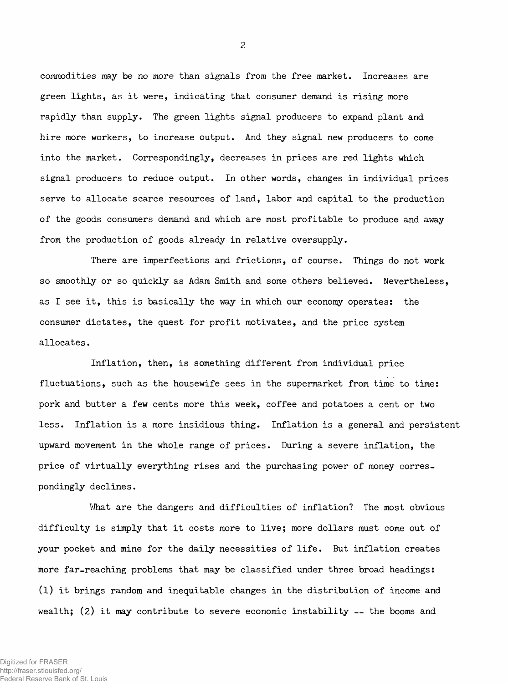**commodities may be** *no more* **than signals from the free market. Increases are green lights, as it were, indicating that consumer demand is rising more rapidly than supply. The green lights signal producers to expand plant and hire more workers, to increase output. And they signal new producers to come into the market. Correspondingly, decreases in prices are red lights which signal producers to reduce output. In other words, changes in individual prices serve to allocate scarce resources of land, labor and capital to the production of the goods consumers demand and which are most profitable to produce and away from the production of goods already in relative oversupply.**

**There are imperfections and frictions, of course. Things do not work so smoothly or so quickly as Adam Smith and some others believed. Nevertheless, as I see it, this is basically the way in which our economy operates: the consumer dictates, the quest for profit motivates, and the price system allocates.**

**Inflation, then, is something different from individual price fluctuations, such as the housewife sees in the supermarket from time to time: pork and butter a few cents more this week, coffee and potatoes a cent or two less. Inflation is a more insidious thing. Inflation is a general and persistent upward movement in the whole range of prices. During a severe inflation, the price of virtually everything rises and the purchasing power of money correspondingly declines.**

**What are the dangers and difficulties of inflation? The most obvious difficulty is simply that it costs more to live; more dollars must come out of your pocket and mine for the daily necessities of life. But inflation creates more far-reaching problems that may be classified under three broad headings: (l) it brings random and inequitable changes in the distribution of income and wealth; (2) it may contribute to severe economic instability — the booms and**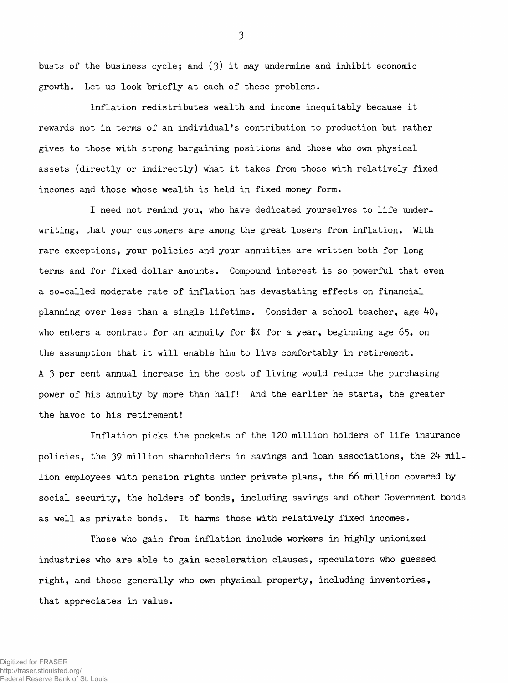**busts of the business cycle; and (3) it may undermine and inhibit economic growth. Let us look briefly at each of these problems.**

**Inflation redistributes wealth and income inequitably because it rewards not in terms of an individual's contribution to production but rather gives to those with strong bargaining positions and those who own physical assets (directly or indirectly) what it takes from those with relatively fixed incomes and those whose wealth is held in fixed money form.**

**I need not remind you, who have dedicated yourselves to life underwriting, that your customers are among the great losers from inflation. With rare exceptions, your policies and your annuities are written both for long terms and for fixed dollar amounts. Compound interest is so powerful that even a so-called moderate rate of inflation has devastating effects on financial** planning over less than a single lifetime. Consider a school teacher, age 40, **who enters a contract for an annuity for \$X for a year, beginning age 65, on the assumption that it will enable him to live comfortably in retirement. A 3 per cent annual increase in the cost of living would reduce the purchasing power of his annuity by more than half! And the earlier he starts, the greater the havoc to his retirement!**

**Inflation picks the pockets of the 120 million holders of life insurance policies, the 39 million shareholders in savings and loan associations, the** *2k* **million employees with pension rights under private plans, the 66 million covered by social security, the holders of bonds, including savings and other Government bonds as well as private bonds. It harms those with relatively fixed incomes.**

**Those who gain from inflation include workers in highly unionized industries who are able to gain acceleration clauses, speculators who guessed right, and those generally who own physical property, including inventories, that appreciates in value.**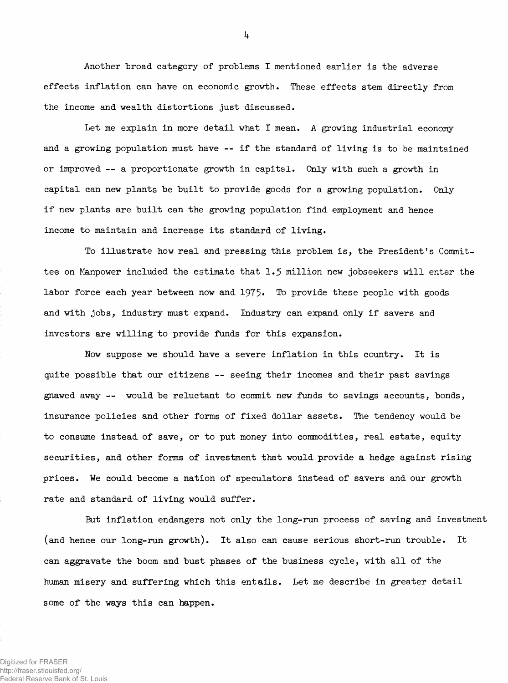**Another broad category of problems I mentioned earlier is the adverse effects inflation can have on economic growth. These effects stem directly from the income and wealth distortions just discussed.**

**Let me explain in more detail what I mean. A growing industrial economy and a growing population must have — if the standard of living is to be maintained or improved — a proportionate growth in capital. Only with such a growth in capital can new plants be built to provide goods for a growing population. Only if new plants are built can the growing population find employment and hence income to maintain and increase its standard of living.**

**To illustrate how real and pressing this problem is, the President's Committee on Manpower included the estimate that 1.5 million new jobseekers will enter the labor force each year between now and 1975\* To provide these people with goods and with jobs, industry must expand. Industry can expand only if savers and investors are willing to provide funds for this expansion.**

**Now suppose we should have a severe inflation in this country. It is quite possible that our citizens — seeing their incomes and their past savings gnawed away — would be reluctant to commit new funds to savings accounts, bonds, insurance policies and other forms of fixed, dollar assets. The tendency would be to consume instead of save, or to put money into commodities, real estate, equity securities, and other forms of investment that would provide a hedge against rising prices. We could become a nation of speculators instead of savers and our growth rate and standard of living would suffer.**

**But inflation endangers not only the long-run process of saving and investment (and hence our long-run growth). It also can cause serious short-run trouble. It can aggravate the boom and bust phases of the business cycle, with all of the human misery and suffering which this entails. Let me describe in greater detail some of the ways this can happen.**

*k*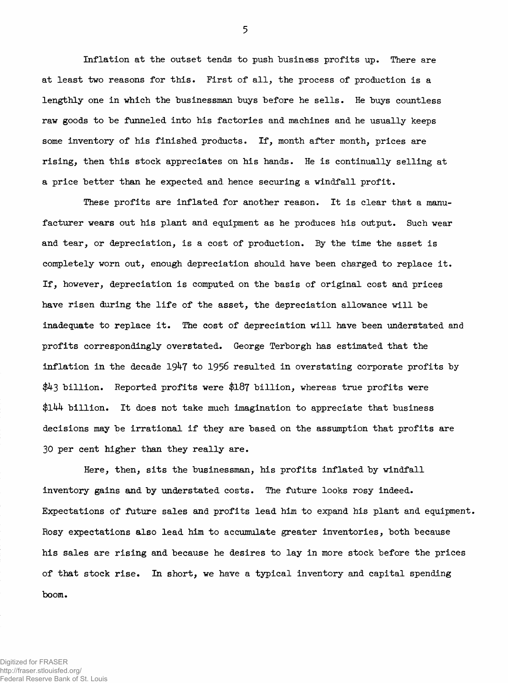**Inflation at the outset tends to push business profits up. There are at least two reasons for this. First of all, the process of production is a lengthly one in which the businessman buys before he sells. He buys countless raw goods to be funneled into his factories and machines and he usually keeps some inventory of his finished products. If, month after month, prices are rising, then this stock appreciates on his hands. He is continually selling at a price better than he expected and. hence securing a windfall profit.**

**These profits are inflated for another reason. It is clear that a manu**facturer wears out his plant and equipment as he produces his output. Such wear **and tear, or depreciation, is a cost of production. By the time the asset is completely worn out, enough depreciation should have been charged to replace it. If, however, depreciation is computed on the basis of original cost and prices have risen during the life of the asset, the depreciation allowance will be inadequate to replace it. The cost of depreciation will have been understated and profits correspondingly overstated. George Terborgh has estimated that the inflation in the decade 19^7 to 1956 resulted in overstating corporate profits by billion. Reported profits were \$187 billion, whereas true profits were** *\$lkk* **billion. It does not take much imagination to appreciate that business decisions may be irrational if they are based on the assumption that profits are 30 per cent higher than they really are.**

**Here, then, sits the businessman, his profits inflated by windfall inventory gains and by understated costs. The future looks rosy indeed. Expectations of future sales and profits lead him to expand his plant and equipment. Rosy expectations also lead him to accumulate greater inventories, both because his sales are rising and because he desires to lay in more stock before the prices of that stock rise. In short, we have a typical inventory and capital spending boom.**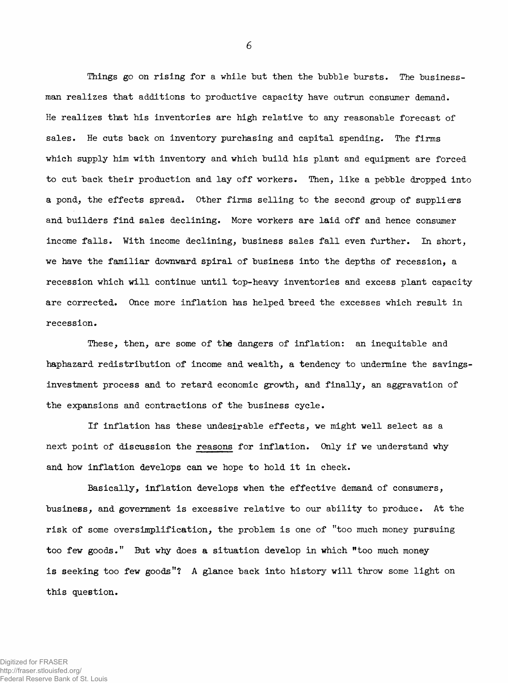**Things go on rising for a while but then the bubble bursts. The businessman realizes that additions to productive capacity have outrun consumer demand. He realizes that his inventories are high relative to any reasonable forecast of sales. He cuts back on inventory purchasing and capital spending. The firms which supply him with inventory and which build his plant and equipment are forced, to cut back their production and lay off workers. Then, like a pebble dropped into a pond, the effects spread. Other firms selling to the second group of suppliers and builders find sales declining. More workers are laid off and hence consumer income falls. With income declining, business sales fall even further. In short, we have the familiar downward spiral of business into the depths of recession, a recession which will continue until top-heavy inventories and excess plant capacity are corrected. Once more inflation has helped breed the excesses which result in recession.**

**These, then, are some of the dangers of inflation: an inequitable and haphazard redistribution of income and wealth, a tendency to undermine the savingsinvestment process and to retard economic growth, and finally, an aggravation of the expansions and contractions of the business cycle.**

**If inflation has these undesirable effects, we might well select as a next point of discussion the reasons for inflation. Only if we understand why and how inflation develops can we hope to hold it in check.**

**Basically, inflation develops when the effective demand of consumers, business, and government is excessive relative to our ability to produce. At the risk of some oversimplification, the problem is one of "too much money pursuing too few goods." But why does a situation develop in which "too much money is seeking too few goods"? A glance back into history will throw some light on this question.**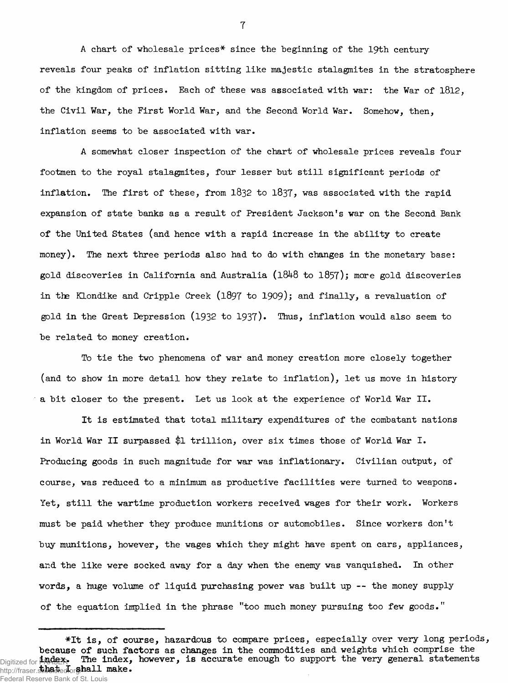**A chart of wholesale prices\* since the beginning of the 19th century reveals four peaks of inflation sitting like majestic stalagmites in the stratosphere of the kingdom of prices. Each of these was associated with war: the War of 1812, the Civil War, the First World War, and the Second World War. Somehow, then, inflation seems to he associated with war.**

**A somewhat closer inspection of the chart of wholesale prices reveals four footmen to the royal stalagmites, four lesser but still significant periods of inflation. The first of these, from 1832 to 1837 > was associated with the rapid expansion of state banks as a result of President Jackson's war on the Second Bank of the United States (and hence with a rapid increase in the ability to create money). The next three periods also had to do with changes in the monetary base: gold discoveries in California and Australia (l848 to 1857); more gold discoveries in the Klondike and Cripple Creek (l897 to 1909); and finally, a revaluation of gold in the Great Depression (1932 to 1937). Thus, inflation would also seem to be related to money creation.**

**To tie the two phenomena of war and money creation more closely together (and to show in more detail how they relate to inflation), let us move in history a bit closer to the present. Let us look at the experience of World War II.**

**It is estimated that total military expenditures of the combatant nations in World War II surpassed \$1 trillion, over six times those of World War I. Producing goods in such magnitude for war was inflationary. Civilian output, of course, was reduced to a minimum as productive facilities were turned to weapons. Yet, still the wartime production workers received wages for their work. Workers must be paid whether they produce munitions or automobiles. Since workers don't buy munitions, however, the wages which they might have spent on cars, appliances, and the like were socked away for a day when the enemy was vanquished. In other words, a huge volume of liquid purchasing power was built up — the money supply of the equation implied in the phrase "too much money pursuing too few goods."**

**<sup>\*</sup>It is, of course, hazardous to compare prices, especially over very long periods, because of such factors as changes in the commodities and weights which comprise the** Digitized for **FRAGEX.** The index, however, is accurate enough to support the very general statements http://fraser.stbadted.org/hall make. Federal Reserve Bank of St. Louis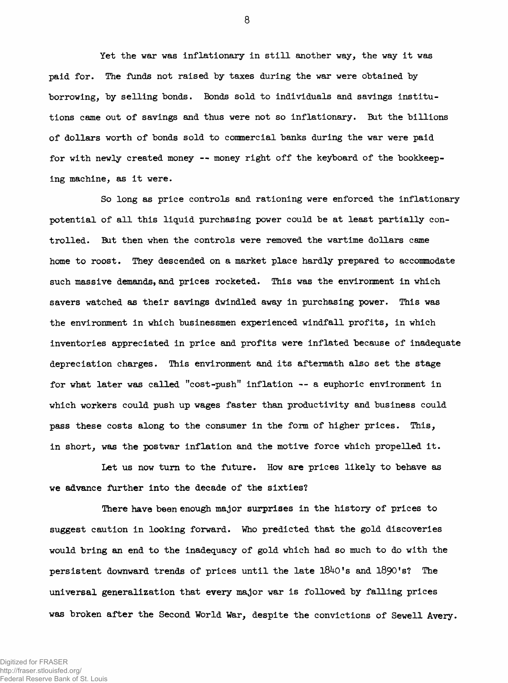**Yet the war was inflationary in still another way, the way it was paid for. The funds not raised by taxes during the war were obtained by borrowing, by selling bonds. Bonds sold to individuals and savings institutions came out of savings and thus were not so inflationary. But the billions of dollars worth of bonds sold to commercial banks during the war were paid for with newly created money — money right off the keyboard of the bookkeeping machine, as it were.**

**So long as price controls and rationing were enforced the inflationary potential of all this liquid purchasing power could be at least partially controlled. But then when the controls were removed the wartime dollars came home to roost. They descended on a market place hardly prepared to accommodate such massive demands, and prices rocketed. This was the environment in which savers watched as their savings dwindled away in purchasing power. This was the environment in which businessmen experienced windfall profits, in which inventories appreciated in price and profits were inflated because of inadequate depreciation charges. This environment and its aftermath also set the stage for what later was called "cost-push" inflation — a euphoric environment in which workers could push up wages faster than productivity and business could pass these costs along to the consumer in the form of higher prices. This, in short, was the postwar inflation and the motive force which propelled it.**

**Let us now turn to the future. How are prices likely to behave as we advance further into the decade of the sixties?**

**There have been enough major surprises in the history of prices to suggest caution in looking forward. Who predicted that the gold discoveries would bring an end to the inadequacy of gold which had so much to do with the persistent downward trends of prices until the late 18^0's and l890's? The universal generalization that every major war is followed by falling prices was broken after the Second World War, despite the convictions of Sewell Avery.**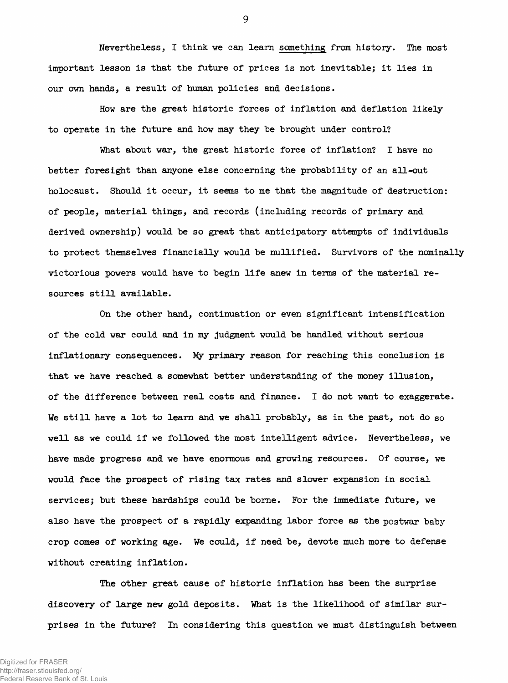**Nevertheless, I think we can learn something from history. The most important lesson is that the future of prices is not inevitable; it lies in our own hands, a result of human policies and decisions.**

**How are the great historic forces of inflation and deflation likely** to operate in the future and how may they be brought under control?

**What about war, the great historic force of inflation? I have no better foresight than anyone else concerning the probability of an all-out** holocaust. Should it occur, it seems to me that the magnitude of destruction: **of people, material things, and records (including records of primary and derived ownership) would be so great that anticipatory attempts of individuals to protect themselves financially would be nullified. Survivors of the nominally victorious powers would have to begin life anew in terms of the material re sources still available.**

**On the other hand, continuation or even significant intensification** of the cold war could and in my judgment would be handled without serious **inflationary consequences.** *M y* **primary reason for reaching this conclusion is that we have reached a somewhat better understanding of the money illusion, of the difference between real costs and finance. I do not want to exaggerate. We still have a lot to learn and we shall probably, as in the past, not do so well as we could if we followed the most intelligent advice. Nevertheless, we have made progress and we have enormous and growing resources. Of course, we would face the prospect of rising tax rates and slower expansion in social services; but these hardships could be borne. For the immediate future, we also have the prospect of a rapidly expanding labor force as the postwar baby crop comes of working age. We could, if need be, devote much more to defense without creating inflation.**

**The other great cause of historic inflation has been the surprise discovery of large new gold deposits. What is the likelihood of similar surprises in the future? In considering this question we must distinguish between**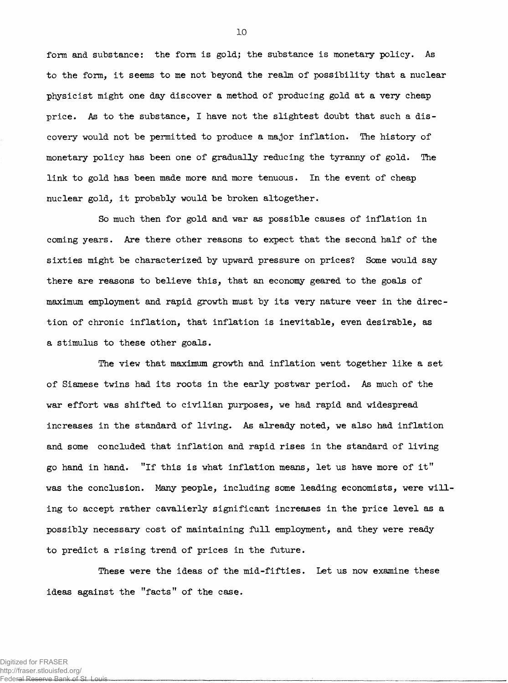**form and substance: the form is gold; the substance is monetary policy. As to the form, it seems to me not beyond the realm of possibility that a nuclear physicist might one day discover a method of producing gold at a very cheap** price. As to the substance, I have not the slightest doubt that such a dis**covery would not be permitted to produce a major inflation. The history of monetary policy has been one of gradually reducing the tyranny of gold. The link to gold has been made more and more tenuous. In the event of cheap nuclear gold, it probably would be broken altogether.**

So much then for gold and war as possible causes of inflation in **coming years. Are there other reasons to expect that the second half of the** sixties might be characterized by upward pressure on prices? Some would say **there are reasons to believe this, that an economy geared to the goals of** maximum employment and rapid growth must by its very nature veer in the direc**tion of chronic inflation, that inflation is inevitable, even desirable, as a stimulus to these other goals.**

**The view that maximum growth and inflation went together like a set of Siamese twins had its roots in the early postwar period. As much of the war effort was shifted to civilian purposes, we had rapid and widespread increases in the standard of living. As already noted, we also had inflation and some concluded that inflation and rapid rises in the standard of living go hand in hand. "If this is what inflation means, let us have more of it" was the conclusion. Many people, including some leading economists, were will' ing to accept rather cavalierly significant increases in the price level as a possibly necessary cost of maintaining full employment, and they were ready to predict a rising trend of prices in the future.**

**These were the ideas of the mid-fifties. Let us now examine these ideas against the "facts" of the case.**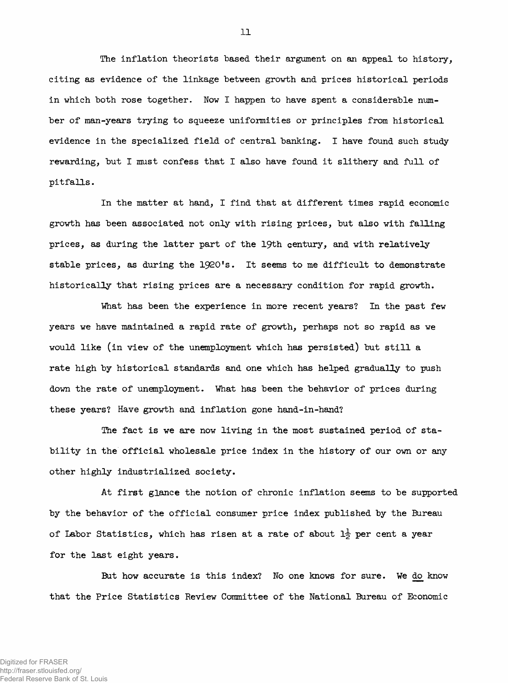**The inflation theorists based their argument on an appeal to history, citing as evidence of the linkage between growth and prices historical periods in which both rose together. Now I happen to have spent a considerable number of man-years trying to squeeze uniformities or principles from historical evidence in the specialized field of central banking. I have found such study rewarding, but I must confess that I also have found it slithery and full of pitfalls.**

**In the matter at hand, I find that at different times rapid economic growth has been associated not only with rising prices, but also with falling prices, as during the latter part of the 19th century, and with relatively stable prices, as during the 1920's. It seems to me difficult to demonstrate historically that rising prices are a necessary condition for rapid growth.**

**What has been the experience in more recent years? In the past few years we have maintained a rapid rate of growth, perhaps not so rapid as we would like (in view of the unemployment which has persisted) but still a rate high by historical standards and one which has helped gradually to push down the rate of unemployment. What has been the behavior of prices during these years? Have growth and inflation gone hand-in-hand?**

**The fact is we are now living in the most sustained period of stability in the official wholesale price index in the history of our own or any other highly industrialized society.**

**At first glance the notion of chronic inflation seems to be supported by the behavior of the official consumer price index published by the Bureau of Labor Statistics, which has risen at a rate of about 1§- per cent a year for the last eight years.**

**But how accurate is this index? No one knows for sure. We do know that the Price Statistics Review Committee of the National Bureau of Economic**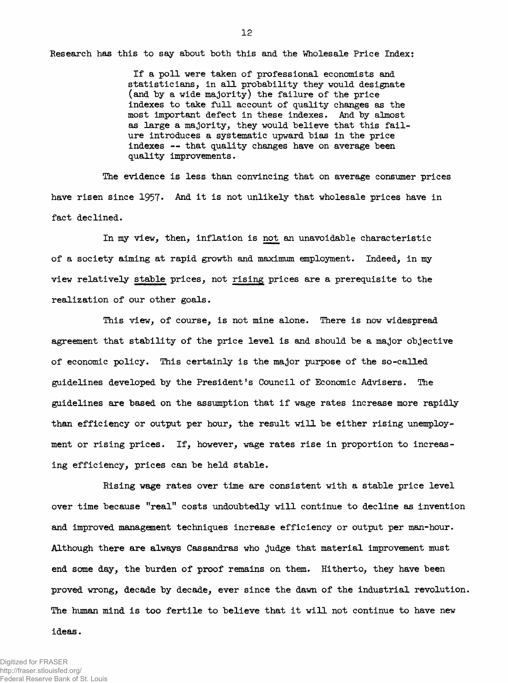**Research has this to say about both this and the Wholesale Price Index:**

**If a poll were taken of professional economists and statisticians, in all probability they would designate (and by a wide majority) the failure of the price indexes to take full account of quality changes as the most important defect in these indexes. And by almost as large a majority, they would believe that this failure introduces a systematic upward bias in the price indexes — that quality changes have on average been quality improvements.**

**The evidence is less than convincing that on average consumer prices** have risen since 1957. And it is not unlikely that wholesale prices have in **fact declined.**

**In my view, then, inflation is not an unavoidable characteristic of a society aiming at rapid growth and maximum employment. Indeed, in my view relatively stable prices, not rising prices are a prerequisite to the realization of our other goals.**

**This view, of course, is not mine alone. There is now widespread agreement that stability of the price level is and should be a major objective of economic policy. This certainly is the major purpose of the so-called guidelines developed by the President's Council of Economic Advisers. The guidelines are based on the assumption that if wage rates increase more rapidly than efficiency or output per hour, the result will be either rising unemployment or rising prices. If, however, wage rates rise in proportion to increasing efficiency, prices can be held stable.**

**Rising wage rates over time are consistent with a stable price level over time because "real" costs undoubtedly will continue to decline as invention and improved management techniques increase efficiency or output per man-hour.** Although there are always Cassandras who judge that material improvement must **end some day, the burden of proof remains on them. Hitherto, they have been proved wrong, decade by decade, ever since the dawn of the industrial revolution. The human mind is too fertile to believe that it will not continue to have new**

## **ideas.**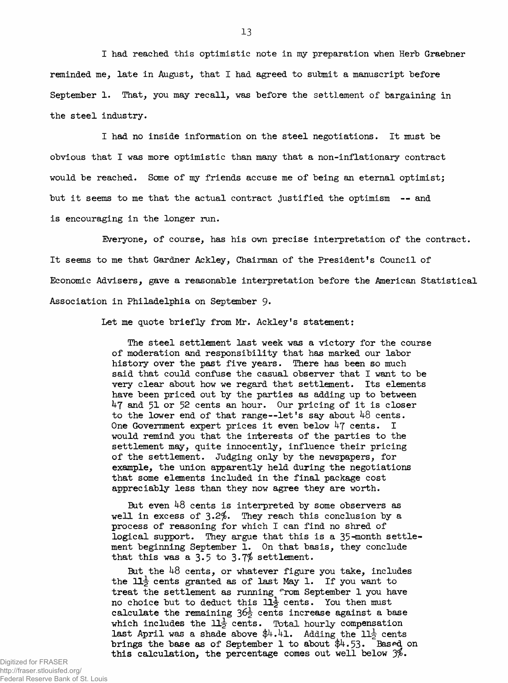**I had reached this optimistic note in my preparation when Herb Graebner reminded me, late in August, that I had agreed to submit a manuscript before September 1. That, you may recall, was before the settlement of bargaining in the steel industry.**

**I had no inside information on the steel negotiations. It must be obvious that I was more optimistic than many that a non-inflationary contract would be reached. Some of my friends accuse me of being an eternal optimist; but it seems to me that the actual contract justified the optimism — and is encouraging in the longer run.**

**Everyone, of course, has his own precise interpretation of the contract. It seems to me that Gardner Ackley, Chairman of the President's Council of Economic Advisers, gave a reasonable interpretation before the American Statistical Association in Philadelphia on September** 9\*

**Let me quote briefly from Mr. Ackley's statement:**

**The steel settlement last week was a victory for the course of moderation and responsibility that has marked our labor history over the past five years. There has been so much said that could confuse the casual observer that I want to be very clear about how we regard that settlement. Its elements have been priced out by the parties as adding up to between ^7 51 or 52 cents an hour. Our pricing of it is closer to the lower end of that range— let's say about ^8 cents.** One Government expert prices it even below 47 cents. I **would remind you that the interests of the parties to the settlement may, quite innocently, influence their pricing of the settlement. Judging only by the newspapers, for example, the union apparently held during the negotiations that some elements included in the final package cost appreciably less than they now agree they are worth.**

But even 48 cents is interpreted by some observers as well in excess of 3.2%. They reach this conclusion by a **process of reasoning for which I can find no shred of** logical support. They argue that this is a 35-month settle**ment beginning September 1. On that basis, they conclude** that this was a  $3.5$  to  $3.7\%$  settlement.

But the 48 cents, or whatever figure you take, includes **the ll|- cents granted as of last May 1. If you want to treat the settlement as running from September 1 you have no choice but to deduct this 11***-\* **cents. You then must calculate the remaining** *3&i* **cents increase against a base which includes the** *Hj>* **cents. Total hourly compensation last April was a shade above**  $\frac{4}{4}$ **.** Adding the  $11\frac{1}{2}$  cents **brings the base as of September 1 to about \$^.53\* Based on this calculation, the percentage comes out well below** *jf>.*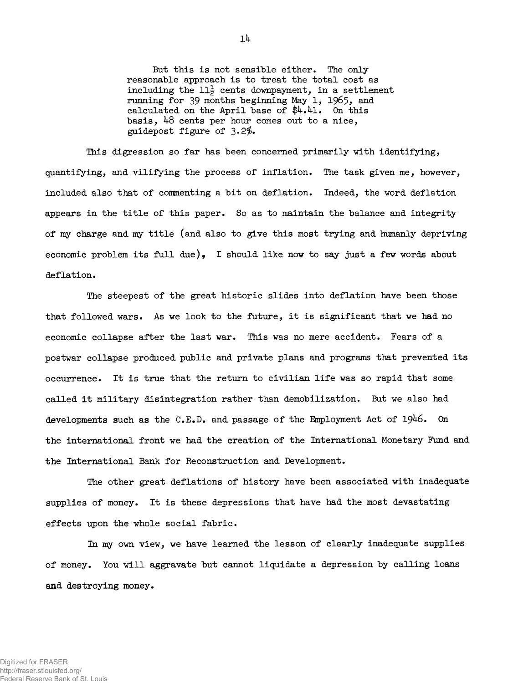**But this is not sensible either. The only reasonable approach is to treat the total cost as including the**  $11\frac{1}{2}$  **cents downpayment, in a settlement** running for 39 months beginning May 1, 1965, and **calculated on the April base of \$4.^1. On this basis, lj-8 cents per hour comes out to a nice, guidepost figure of 3\*2\$.**

**This digression so far has been concerned primarily with identifying, quantifying, and vilifying the process of inflation. The task given me, however, included also that of commenting a bit on deflation. Indeed, the word deflation appears in the title of this paper. So as to maintain the balance and integrity of my charge and my title (and also to give this most trying and humanly depriving economic problem its full due), I should like now to say just a few words about deflation.**

**The steepest of the great historic slides into deflation have been those that followed wars. As we look to the future, it is significant that we had no economic collapse after the last war. This was no mere accident. Fears of a postwar collapse produced public and private plans and programs that prevented its occurrence. It is true that the return to civilian life was so rapid that some called it military disintegration rather than demobilization. But we also had developments such as the C.E.D. and passage of the Employment Act of 19^6. On the international front we had the creation of the International Monetary Fund and the International Bank for Reconstruction and Development.**

**The other great deflations of history have been associated with inadequate supplies of money. It is these depressions that have had the most devastating effects upon the whole social fabric.**

**In my own view, we have learned the lesson of clearly inadequate supplies of money. You will aggravate but cannot liquidate a depression by calling loans and destroying money.**